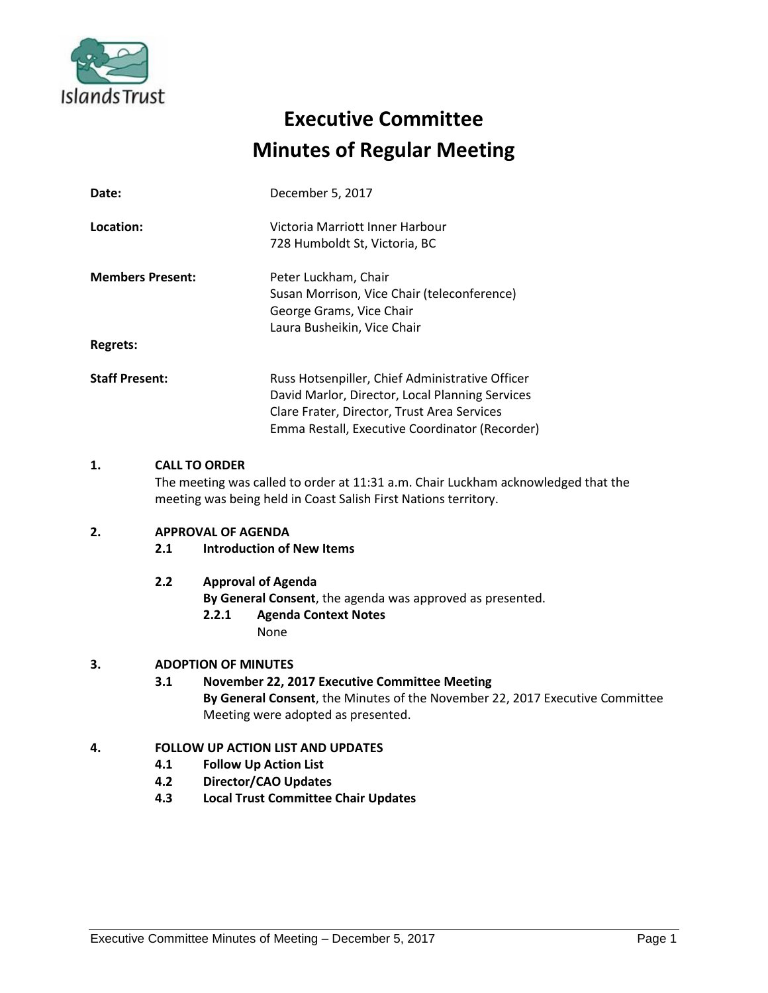

# **Executive Committee Minutes of Regular Meeting**

| Date:                               | December 5, 2017                                                                                                                                                                                    |
|-------------------------------------|-----------------------------------------------------------------------------------------------------------------------------------------------------------------------------------------------------|
| Location:                           | Victoria Marriott Inner Harbour<br>728 Humboldt St, Victoria, BC                                                                                                                                    |
| <b>Members Present:</b><br>Regrets: | Peter Luckham, Chair<br>Susan Morrison, Vice Chair (teleconference)<br>George Grams, Vice Chair<br>Laura Busheikin, Vice Chair                                                                      |
| <b>Staff Present:</b>               | Russ Hotsenpiller, Chief Administrative Officer<br>David Marlor, Director, Local Planning Services<br>Clare Frater, Director, Trust Area Services<br>Emma Restall, Executive Coordinator (Recorder) |

# **1. CALL TO ORDER**

The meeting was called to order at 11:31 a.m. Chair Luckham acknowledged that the meeting was being held in Coast Salish First Nations territory.

# **2. APPROVAL OF AGENDA**

# **2.1 Introduction of New Items**

# **2.2 Approval of Agenda**

**By General Consent**, the agenda was approved as presented.

**2.2.1 Agenda Context Notes**

None

# **3. ADOPTION OF MINUTES**

# **3.1 November 22, 2017 Executive Committee Meeting By General Consent**, the Minutes of the November 22, 2017 Executive Committee Meeting were adopted as presented.

# **4. FOLLOW UP ACTION LIST AND UPDATES**

- **4.1 Follow Up Action List**
- **4.2 Director/CAO Updates**
- **4.3 Local Trust Committee Chair Updates**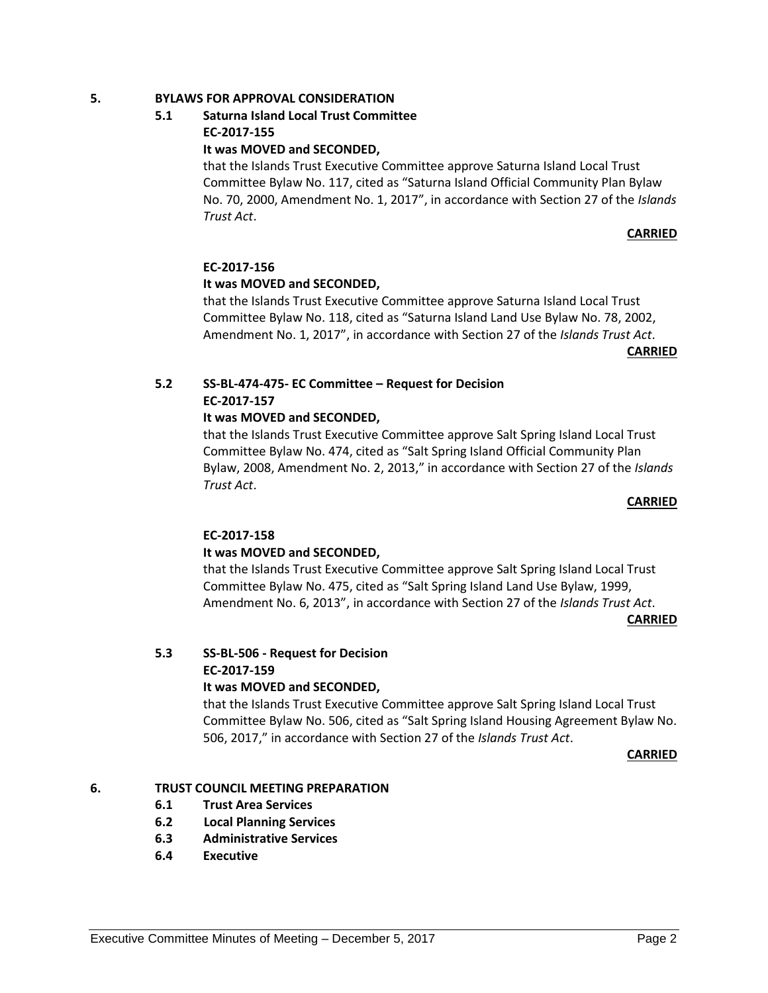# **5. BYLAWS FOR APPROVAL CONSIDERATION**

# **5.1 Saturna Island Local Trust Committee EC-2017-155**

#### **It was MOVED and SECONDED,**

that the Islands Trust Executive Committee approve Saturna Island Local Trust Committee Bylaw No. 117, cited as "Saturna Island Official Community Plan Bylaw No. 70, 2000, Amendment No. 1, 2017", in accordance with Section 27 of the *Islands Trust Act*.

#### **CARRIED**

#### **EC-2017-156**

#### **It was MOVED and SECONDED,**

that the Islands Trust Executive Committee approve Saturna Island Local Trust Committee Bylaw No. 118, cited as "Saturna Island Land Use Bylaw No. 78, 2002, Amendment No. 1, 2017", in accordance with Section 27 of the *Islands Trust Act*.

**CARRIED**

# **5.2 SS-BL-474-475- EC Committee – Request for Decision EC-2017-157**

#### **It was MOVED and SECONDED,**

that the Islands Trust Executive Committee approve Salt Spring Island Local Trust Committee Bylaw No. 474, cited as "Salt Spring Island Official Community Plan Bylaw, 2008, Amendment No. 2, 2013," in accordance with Section 27 of the *Islands Trust Act*.

#### **CARRIED**

#### **EC-2017-158**

# **It was MOVED and SECONDED,**

that the Islands Trust Executive Committee approve Salt Spring Island Local Trust Committee Bylaw No. 475, cited as "Salt Spring Island Land Use Bylaw, 1999, Amendment No. 6, 2013", in accordance with Section 27 of the *Islands Trust Act*.

**CARRIED**

# **5.3 SS-BL-506 - Request for Decision**

# **EC-2017-159**

#### **It was MOVED and SECONDED,**

that the Islands Trust Executive Committee approve Salt Spring Island Local Trust Committee Bylaw No. 506, cited as "Salt Spring Island Housing Agreement Bylaw No. 506, 2017," in accordance with Section 27 of the *Islands Trust Act*.

**CARRIED**

# **6. TRUST COUNCIL MEETING PREPARATION**

- **6.1 Trust Area Services**
- **6.2 Local Planning Services**
- **6.3 Administrative Services**
- **6.4 Executive**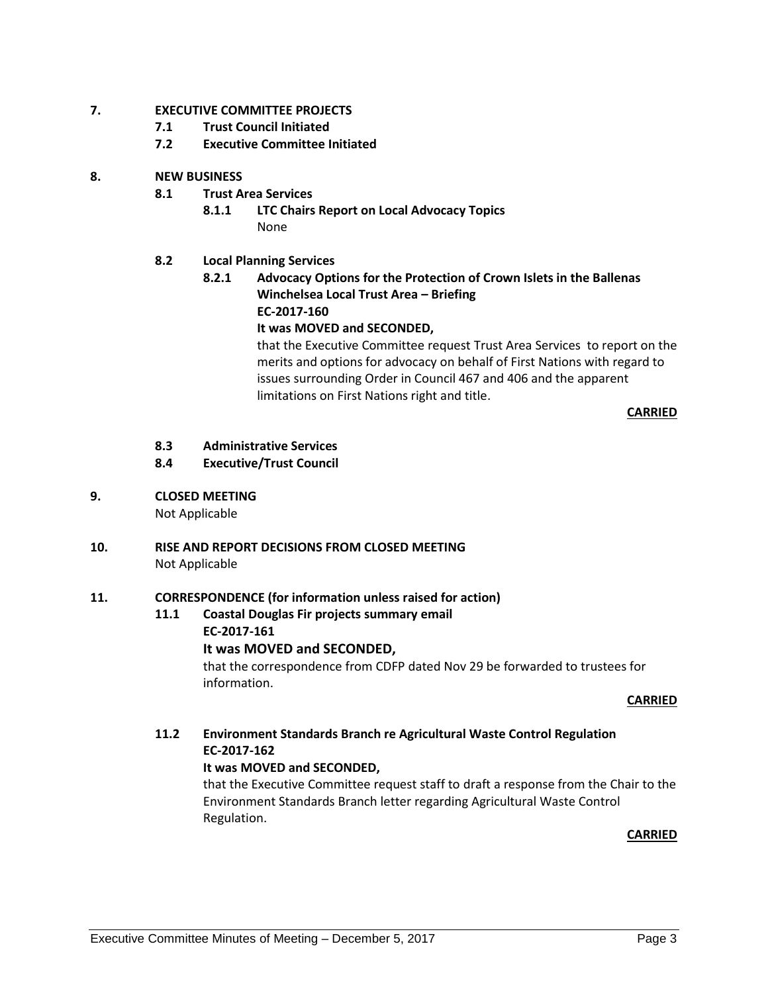# **7. EXECUTIVE COMMITTEE PROJECTS**

- **7.1 Trust Council Initiated**
- **7.2 Executive Committee Initiated**

# **8. NEW BUSINESS**

- **8.1 Trust Area Services**
	- **8.1.1 LTC Chairs Report on Local Advocacy Topics** None

# **8.2 Local Planning Services**

**8.2.1 Advocacy Options for the Protection of Crown Islets in the Ballenas Winchelsea Local Trust Area – Briefing EC-2017-160 It was MOVED and SECONDED,**

> that the Executive Committee request Trust Area Services to report on the merits and options for advocacy on behalf of First Nations with regard to issues surrounding Order in Council 467 and 406 and the apparent limitations on First Nations right and title.

> > **CARRIED**

- **8.3 Administrative Services**
- **8.4 Executive/Trust Council**
- **9. CLOSED MEETING**

Not Applicable

**10. RISE AND REPORT DECISIONS FROM CLOSED MEETING** Not Applicable

#### **11. CORRESPONDENCE (for information unless raised for action)**

#### **11.1 Coastal Douglas Fir projects summary email EC-2017-161**

# **It was MOVED and SECONDED,**

that the correspondence from CDFP dated Nov 29 be forwarded to trustees for information.

#### **CARRIED**

# **11.2 Environment Standards Branch re Agricultural Waste Control Regulation EC-2017-162**

#### **It was MOVED and SECONDED,**

that the Executive Committee request staff to draft a response from the Chair to the Environment Standards Branch letter regarding Agricultural Waste Control Regulation.

**CARRIED**